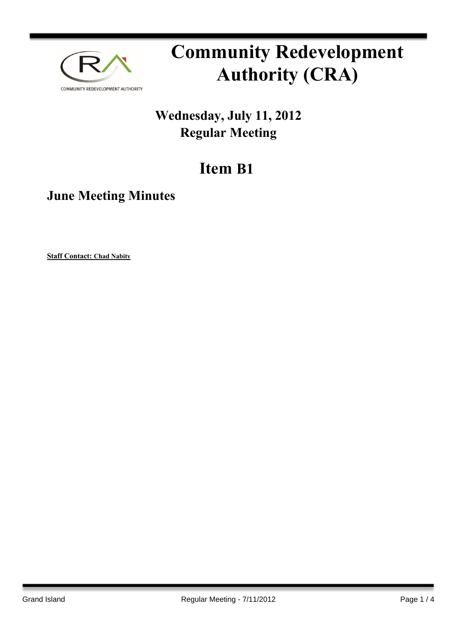

# **Community Redevelopment Authority (CRA)**

## **Wednesday, July 11, 2012 Regular Meeting**

## **Item B1**

### **June Meeting Minutes**

**Staff Contact: Chad Nabity**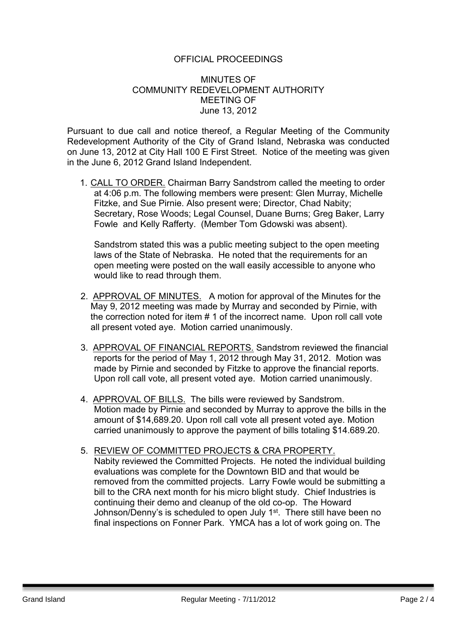#### OFFICIAL PROCEEDINGS

#### MINUTES OF COMMUNITY REDEVELOPMENT AUTHORITY MEETING OF June 13, 2012

Pursuant to due call and notice thereof, a Regular Meeting of the Community Redevelopment Authority of the City of Grand Island, Nebraska was conducted on June 13, 2012 at City Hall 100 E First Street. Notice of the meeting was given in the June 6, 2012 Grand Island Independent.

1. CALL TO ORDER. Chairman Barry Sandstrom called the meeting to order at 4:06 p.m. The following members were present: Glen Murray, Michelle Fitzke, and Sue Pirnie. Also present were; Director, Chad Nabity; Secretary, Rose Woods; Legal Counsel, Duane Burns; Greg Baker, Larry Fowle and Kelly Rafferty. (Member Tom Gdowski was absent).

Sandstrom stated this was a public meeting subject to the open meeting laws of the State of Nebraska. He noted that the requirements for an open meeting were posted on the wall easily accessible to anyone who would like to read through them.

- 2. APPROVAL OF MINUTES. A motion for approval of the Minutes for the May 9, 2012 meeting was made by Murray and seconded by Pirnie, with the correction noted for item # 1 of the incorrect name. Upon roll call vote all present voted aye. Motion carried unanimously.
- 3. APPROVAL OF FINANCIAL REPORTS. Sandstrom reviewed the financial reports for the period of May 1, 2012 through May 31, 2012. Motion was made by Pirnie and seconded by Fitzke to approve the financial reports. Upon roll call vote, all present voted aye. Motion carried unanimously.
- 4. APPROVAL OF BILLS. The bills were reviewed by Sandstrom. Motion made by Pirnie and seconded by Murray to approve the bills in the amount of \$14,689.20. Upon roll call vote all present voted aye. Motion carried unanimously to approve the payment of bills totaling \$14.689.20.
- 5. REVIEW OF COMMITTED PROJECTS & CRA PROPERTY. Nabity reviewed the Committed Projects. He noted the individual building evaluations was complete for the Downtown BID and that would be removed from the committed projects. Larry Fowle would be submitting a bill to the CRA next month for his micro blight study. Chief Industries is continuing their demo and cleanup of the old co-op. The Howard Johnson/Denny's is scheduled to open July 1<sup>st</sup>. There still have been no final inspections on Fonner Park. YMCA has a lot of work going on. The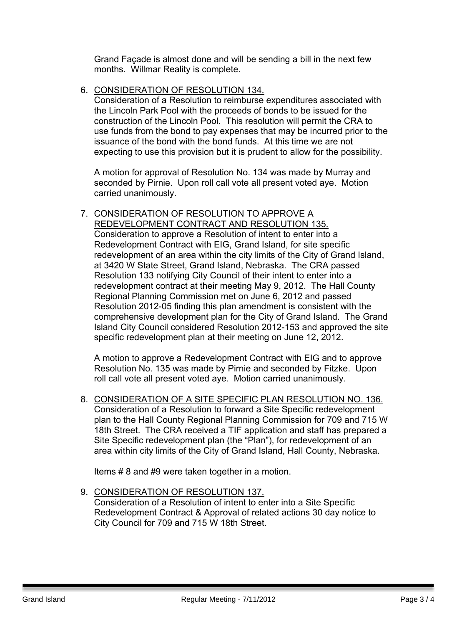Grand Façade is almost done and will be sending a bill in the next few months. Willmar Reality is complete.

#### 6. CONSIDERATION OF RESOLUTION 134.

Consideration of a Resolution to reimburse expenditures associated with the Lincoln Park Pool with the proceeds of bonds to be issued for the construction of the Lincoln Pool. This resolution will permit the CRA to use funds from the bond to pay expenses that may be incurred prior to the issuance of the bond with the bond funds. At this time we are not expecting to use this provision but it is prudent to allow for the possibility.

A motion for approval of Resolution No. 134 was made by Murray and seconded by Pirnie. Upon roll call vote all present voted aye. Motion carried unanimously.

7. CONSIDERATION OF RESOLUTION TO APPROVE A REDEVELOPMENT CONTRACT AND RESOLUTION 135. Consideration to approve a Resolution of intent to enter into a Redevelopment Contract with EIG, Grand Island, for site specific redevelopment of an area within the city limits of the City of Grand Island, at 3420 W State Street, Grand Island, Nebraska. The CRA passed Resolution 133 notifying City Council of their intent to enter into a redevelopment contract at their meeting May 9, 2012. The Hall County Regional Planning Commission met on June 6, 2012 and passed Resolution 2012-05 finding this plan amendment is consistent with the comprehensive development plan for the City of Grand Island. The Grand Island City Council considered Resolution 2012-153 and approved the site specific redevelopment plan at their meeting on June 12, 2012.

A motion to approve a Redevelopment Contract with EIG and to approve Resolution No. 135 was made by Pirnie and seconded by Fitzke. Upon roll call vote all present voted aye. Motion carried unanimously.

8. CONSIDERATION OF A SITE SPECIFIC PLAN RESOLUTION NO. 136. Consideration of a Resolution to forward a Site Specific redevelopment plan to the Hall County Regional Planning Commission for 709 and 715 W 18th Street. The CRA received a TIF application and staff has prepared a Site Specific redevelopment plan (the "Plan"), for redevelopment of an area within city limits of the City of Grand Island, Hall County, Nebraska.

Items # 8 and #9 were taken together in a motion.

9. CONSIDERATION OF RESOLUTION 137. Consideration of a Resolution of intent to enter into a Site Specific Redevelopment Contract & Approval of related actions 30 day notice to City Council for 709 and 715 W 18th Street.